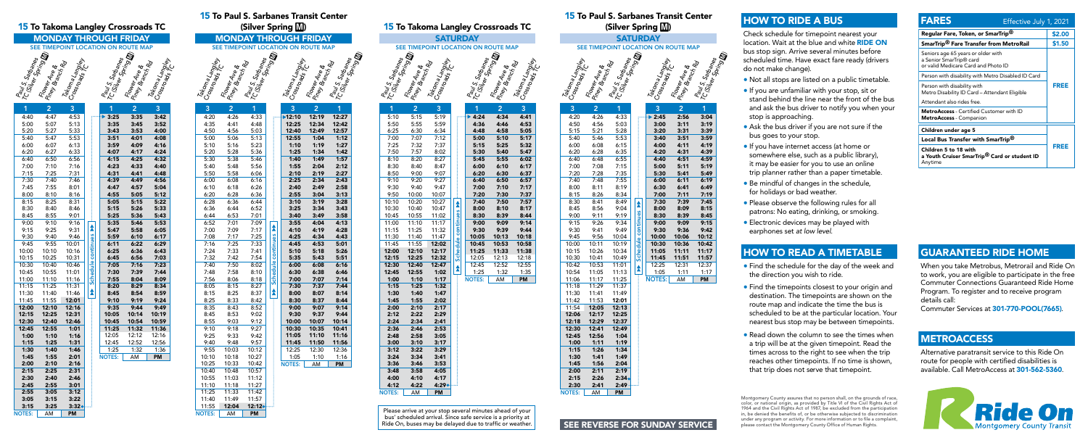Please arrive at your stop several minutes ahead of your bus' scheduled arrival. Since safe service is a priority at

# **SEE REVERSE FOR SUNDAY SERVICE**

Flower Ave<br>Piney Branch Rd<br>Paul S. Sarbanes<br>TC (Silve Sorganes

## 15 To Paul S. Sarbanes Transit Center (Silver Spring M)

## **SATURDAY** SEE TIMEPOINT LOCATION ON ROUTE MAP



Schedule continues

NOTES: AM PM

|               |                                                              |       |                    | 15 To Takoma Langley Crossroads TC  |                |                                                                                                      |  |
|---------------|--------------------------------------------------------------|-------|--------------------|-------------------------------------|----------------|------------------------------------------------------------------------------------------------------|--|
|               |                                                              |       |                    | <b>MONDAY THROUGH FRIDAY</b>        |                |                                                                                                      |  |
|               |                                                              |       |                    |                                     |                |                                                                                                      |  |
|               | Paus Sartames<br>TCISiler Sortings<br>Figure Anting Director |       |                    | SEE TIMEPOINT LOCATION ON ROUTE MAP |                |                                                                                                      |  |
|               |                                                              |       |                    |                                     |                | Rauls, Sarbanes<br>KClsiver Soring &<br>Follows Joing <b>&amp;</b><br>P. Mar Ane &<br>Cossma Langley |  |
|               |                                                              |       |                    |                                     |                |                                                                                                      |  |
|               |                                                              |       |                    |                                     |                |                                                                                                      |  |
|               |                                                              |       |                    |                                     |                |                                                                                                      |  |
|               |                                                              |       |                    |                                     |                |                                                                                                      |  |
|               |                                                              |       |                    |                                     |                |                                                                                                      |  |
|               |                                                              |       |                    |                                     |                |                                                                                                      |  |
| 1             | $\overline{2}$                                               | 3     |                    | 1                                   | $\overline{2}$ | 3                                                                                                    |  |
| 4:40          | 4:47                                                         | 4:53  |                    | 3:25                                | 3:35           | 3:42                                                                                                 |  |
| 5:00          | 5:07                                                         | 5:13  |                    | 3:35                                | 3:45           | 3:52                                                                                                 |  |
|               |                                                              |       |                    |                                     |                |                                                                                                      |  |
| 5:20          | 5:27                                                         | 5:33  |                    | 3:43                                | 3:53           | 4:00                                                                                                 |  |
| 5:40          | 5:47                                                         | 5:53  |                    | 3:51                                | 4:01           | 4:08                                                                                                 |  |
| 6:00          | 6:07                                                         | 6:13  |                    | 3:59                                | 4:09           | 4:16                                                                                                 |  |
| 6:20          | 6:27                                                         | 6:33  |                    | 4:07                                | 4:17           | 4:24                                                                                                 |  |
| 6:40          | 6:50                                                         | 6:56  |                    | 4:15                                | 4:25           | 4:32                                                                                                 |  |
| 7:00          | 7:10                                                         | 7:16  |                    | 4:23                                | 4:33           | 4:40                                                                                                 |  |
| 7:15          | 7:25                                                         | 7:31  |                    | 4:31                                | 4:41           | 4:48                                                                                                 |  |
| 7:30          | 7:40                                                         | 7:46  |                    | 4:39                                | 4:49           | 4:56                                                                                                 |  |
| 7:45          | 7:55                                                         | 8:01  |                    | 4:47                                | 4:57           | 5:04                                                                                                 |  |
| 8:00          | 8:10                                                         | 8:16  |                    | 4:55                                | 5:05           | 5:12                                                                                                 |  |
| 8:15          | 8:25                                                         | 8:31  |                    | 5:05                                | 5:15           | 5:22                                                                                                 |  |
| 8:30          | 8:40                                                         | 8:46  |                    | 5:15                                | 5:26           | 5:33                                                                                                 |  |
| 8:45          | 8:55                                                         | 9:01  |                    | 5:25                                | 5:36           | 5:43                                                                                                 |  |
| 9:00          | 9:10                                                         | 9:16  |                    | 5:35                                | 5:46           | 5:53                                                                                                 |  |
| 9:15          | 9:25                                                         | 9:31  | ∕                  | 5:47                                | 5:58           | 6:05                                                                                                 |  |
| 9:30          | 9:40                                                         | 9:46  |                    | 5:59                                | 6:10           | 6:17                                                                                                 |  |
| 9:45          | 9:55                                                         | 10:01 | Schedule continues | 6:11                                | 6:22           | 6:29                                                                                                 |  |
| 10:00         | 10:10                                                        | 10:16 |                    | 6:25                                | 6:36           | 6:43                                                                                                 |  |
| 10:15         | 10:25                                                        | 10:31 |                    | 6:45                                | 6:56           | 7:03                                                                                                 |  |
| 10:30         | 10:40                                                        | 10:46 |                    | 7:05                                | 7:16           | 7:23                                                                                                 |  |
| 10:45         | 10:55                                                        | 11:01 |                    | 7:30                                | 7:39           | 7:44                                                                                                 |  |
| 11:00         | 11:10                                                        | 11:16 |                    | 7:55                                | 8:04           | 8:09                                                                                                 |  |
| 11:15         | 11:25                                                        | 11:31 |                    | 8:20                                | 8:29           | 8:34                                                                                                 |  |
| 11:30         | 11:40                                                        | 11:46 | ٰ                  | 8:45                                | 8:54           | 8:59                                                                                                 |  |
| 11:45         | 11:55                                                        | 12:01 |                    | 9:10                                | 9:19           | 9:24                                                                                                 |  |
| 12:00         | 12:10                                                        | 12:16 |                    | 9:35                                | 9:44           | 9:49                                                                                                 |  |
| 12:15         | 12:25                                                        | 12:31 |                    | 10:05                               | 10:14          | 10:19                                                                                                |  |
| 12:30         | 12:40                                                        | 12:46 |                    | 10:45                               | 10:54          | 10:59                                                                                                |  |
| 12:45         | 12:55                                                        | 1:01  |                    | 11:25                               | 11:32          | 11:36                                                                                                |  |
| 1:00          | 1:10                                                         | 1:16  |                    | 12:05                               | 12:12          | 12:16                                                                                                |  |
| 1:15          | 1:25                                                         | 1:31  |                    | 12:45                               | 12:52          | 12:56                                                                                                |  |
| 1:30          | 1:40                                                         | 1:46  |                    | 1:25                                | 1:32           | 1:36                                                                                                 |  |
| 1:45          | 1:55                                                         | 2:01  |                    | <b>NOTES:</b>                       | AM             | PM                                                                                                   |  |
| 2:00          | 2:10                                                         | 2:16  |                    |                                     |                |                                                                                                      |  |
| 2:15          | 2:25                                                         | 2:31  |                    |                                     |                |                                                                                                      |  |
| 2:30          | 2:40                                                         | 2:46  |                    |                                     |                |                                                                                                      |  |
| 2:45          | 2:55                                                         | 3:01  |                    |                                     |                |                                                                                                      |  |
| 2:55          | 3:05                                                         | 3:12  |                    |                                     |                |                                                                                                      |  |
|               | 3:15                                                         |       |                    |                                     |                |                                                                                                      |  |
| 3:05          |                                                              | 3:22  |                    |                                     |                |                                                                                                      |  |
| 3:15          | 3:25                                                         | 3:32  |                    |                                     |                |                                                                                                      |  |
| <b>NOTES:</b> | AM                                                           | PM    |                    |                                     |                |                                                                                                      |  |

 $\frac{11:53}{12:05}$  12:01 12:05 12:06 12:17 12:25 12:29 12:37 12:30 12:41 12:49 12:56 1:04 1:11 1:19 1:26 1:34 1:30 1:41 1:49 1:56 2:04 2:00 2:11 2:19  $2:26$   $2:34$  $2:41$   $2:49$ 

TC <sup>Cy, S</sup>arban<sub>es</sub><br>CSilver Springs<br><sup>Mor</sup>ing **M** 

| <b>15 To Paul S. Sarbanes Transit Center</b> |                        |                                                                                         |                  |                         |                             |                                                                      |  |
|----------------------------------------------|------------------------|-----------------------------------------------------------------------------------------|------------------|-------------------------|-----------------------------|----------------------------------------------------------------------|--|
|                                              |                        | (Silver Spring M)                                                                       |                  |                         |                             |                                                                      |  |
|                                              |                        | <b>MONDAY THROUGH FRIDAY</b>                                                            |                  |                         |                             |                                                                      |  |
|                                              | <b>SEE TIMEPOINT L</b> |                                                                                         |                  |                         | <b>OCATION ON ROUTE MAP</b> |                                                                      |  |
|                                              |                        |                                                                                         |                  |                         |                             | Afornes 13 TC<br>Principle &<br>Paul S. Sarbanes<br>TC(Silve Springs |  |
|                                              |                        |                                                                                         |                  |                         |                             |                                                                      |  |
|                                              |                        |                                                                                         |                  |                         |                             |                                                                      |  |
|                                              |                        |                                                                                         |                  |                         |                             |                                                                      |  |
|                                              |                        |                                                                                         |                  |                         |                             |                                                                      |  |
|                                              |                        |                                                                                         |                  |                         |                             |                                                                      |  |
|                                              |                        |                                                                                         |                  |                         |                             |                                                                      |  |
| <b>RACOna Langues</b>                        |                        | romer de Richard C.<br>Piney Bandre &<br>Paus Sandre<br>R. Sirbanes<br>R. Santages<br>1 |                  | <b>GROMALANDES</b><br>3 | $\overline{2}$              | 1                                                                    |  |
| 4:20                                         | 4:26                   | 4:33                                                                                    |                  | ·12:10                  | 12:19                       | 12:27                                                                |  |
| 4:35                                         | 4:41                   | 4:48                                                                                    |                  | 12:25                   | 12:34                       | 12:42                                                                |  |
| 4:50                                         | 4:56                   | 5:03                                                                                    |                  | 12:40                   | 12:49                       | 12:57                                                                |  |
| 5:00                                         | 5:06                   | 5:13                                                                                    |                  | 12:55                   | 1:04                        | 1:12                                                                 |  |
| 5:10                                         | 5:16                   | 5:23                                                                                    |                  | 1:10                    | 1:19                        | 1:27                                                                 |  |
| 5:20                                         | 5:28                   | 5:36                                                                                    |                  | 1:25                    | 1:34                        | 1:42                                                                 |  |
| 5:30                                         | 5:38<br>5:48           | 5:46<br>5:56                                                                            |                  | 1:40                    | 1:49                        | 1:57<br>2:12                                                         |  |
| 5:40<br>5:50                                 | 5:58                   | 6:06                                                                                    |                  | 1:55<br>2:10            | 2:04<br>2:19                | 2:27                                                                 |  |
| 6:00                                         | 6:08                   | 6:16                                                                                    |                  | 2:25                    | 2:34                        | 2:43                                                                 |  |
| 6:10                                         | 6:18                   | 6:26                                                                                    |                  | 2:40                    | 2:49                        | 2:58                                                                 |  |
| 6:20                                         | 6:28                   | 6:36                                                                                    |                  | 2:55                    | 3:04                        | 3:13                                                                 |  |
| 6:28                                         | 6:36                   | 6:44                                                                                    |                  | 3:10                    | 3:19                        | 3:28                                                                 |  |
| 6:36                                         | 6:44                   | 6:52                                                                                    |                  | 3:25                    | 3:34                        | 3:43                                                                 |  |
| 6:44                                         | 6:53                   | 7:01                                                                                    |                  | 3:40                    | 3:49                        | 3:58                                                                 |  |
| 6:52                                         | 7:01                   | 7:09                                                                                    |                  | 3:55                    | 4:04                        | 4:13                                                                 |  |
| 7:00                                         | 7:09                   | 7:17                                                                                    | ٰ                | 4:10                    | 4:19                        | 4:28                                                                 |  |
| 7:08                                         | 7:17                   | 7:25                                                                                    |                  | 4:25                    | 4:34                        | 4:43                                                                 |  |
| 7:16                                         | 7:25                   | 7:33                                                                                    | continues        | 4:45                    | 4:53                        | 5:01                                                                 |  |
| 7:24                                         | 7:33                   | 7:41                                                                                    |                  | 5:10                    | 5:18                        | 5:26                                                                 |  |
| 7:32                                         | 7:42                   | 7:54                                                                                    |                  | 5:35                    | 5:43                        | 5:51                                                                 |  |
| 7:40                                         | 7:50                   | 8:02                                                                                    | <b>Schedule</b>  | 6:00                    | 6:08                        | 6:16                                                                 |  |
| 7:48                                         | 7:58                   | 8:10                                                                                    |                  | 6:30                    | 6:38                        | 6:46                                                                 |  |
| 7:56                                         | 8:06                   | 8:18                                                                                    |                  | 7:00                    | 7:07                        | 7:14                                                                 |  |
| 8:05                                         | 8:15                   | 8:27                                                                                    |                  | 7:30                    | 7:37                        | 7:44                                                                 |  |
| 8:15                                         | 8:25                   | 8:37                                                                                    | $\blacktriangle$ | 8:00                    | 8:07                        | 8:14                                                                 |  |
| 8:25                                         | 8:33                   | 8:42                                                                                    |                  | 8:30                    | 8:37                        | 8:44                                                                 |  |
| 8:35                                         | 8:43                   | 8:52                                                                                    |                  | 9:00                    | 9:07                        | 9:14                                                                 |  |
| 8:45<br>8:55                                 | 8:53                   | 9:02                                                                                    |                  | 9:30                    | 9:37                        | 9:44                                                                 |  |
| 9:10                                         | 9:03<br>9:18           | 9:12<br>9:27                                                                            |                  | 10:00<br>10:30          | 10:07<br>10:35              | 10:14<br>10:41                                                       |  |
| 9:25                                         | 9:33                   | 9:42                                                                                    |                  | 11:05                   | 11:10                       | 11:16                                                                |  |
| 9:40                                         | 9:48                   | 9:57                                                                                    |                  | 11:45                   | 11:50                       | 11:56                                                                |  |
| 9:55                                         | 10:03                  | 10:12                                                                                   |                  | 12:25                   | 12:30                       | 12:36                                                                |  |
| 10:10                                        | 10:18                  | 10:27                                                                                   |                  | 1:05                    | 1:10                        | 1:16                                                                 |  |
| 10:25                                        | 10:33                  | 10:42                                                                                   |                  | <b>NOTES:</b>           | AM                          | PM                                                                   |  |
| 10:40                                        | 10:48                  | 10:57                                                                                   |                  |                         |                             |                                                                      |  |
| 10:55                                        | 11:03                  | 11:12                                                                                   |                  |                         |                             |                                                                      |  |
| 11:10                                        | 11:18                  | 11:27                                                                                   |                  |                         |                             |                                                                      |  |
| 11:25                                        | 11:33                  | 11:42                                                                                   |                  |                         |                             |                                                                      |  |
| 11:40                                        | 11:49                  | 11:57                                                                                   |                  |                         |                             |                                                                      |  |
| 11:55                                        | 12:04                  | 12:12 <b>.</b>                                                                          |                  |                         |                             |                                                                      |  |

|                                                              |                         |              |                    |                                    |                |                                                         |                         |                                                     | 15 To Paul S. Sar | (Silver         |
|--------------------------------------------------------------|-------------------------|--------------|--------------------|------------------------------------|----------------|---------------------------------------------------------|-------------------------|-----------------------------------------------------|-------------------|-----------------|
| <b>15 To Takoma Langley Crossroads TC</b><br><b>SATURDAY</b> |                         |              |                    |                                    |                |                                                         | <b>SA</b>               |                                                     |                   |                 |
| SEE TIMEPOINT LOCATION ON ROUTE MAP                          |                         |              |                    |                                    |                |                                                         | <b>SEE TIMEPOINT LC</b> |                                                     |                   |                 |
|                                                              |                         |              |                    |                                    |                |                                                         |                         |                                                     |                   |                 |
| Pauls Sarbanes<br>ICSilver Sarbanes                          |                         | Rower Joring |                    | Paus Sartanes<br>I CSilie Sartanes |                | Rower Hingi<br>Principle &<br>Alemarke &<br>Cosmalample |                         | <b>Lakoma Langley</b><br>Cossroads TC <sup>ey</sup> | S Priore Alread   | Pauls, Sardance |
| 1                                                            | $\overline{\mathbf{c}}$ | 3            |                    | 1                                  | $\overline{2}$ | 3                                                       |                         | 3                                                   | $\overline{2}$    | $\overline{1}$  |
| 5:10                                                         | 5:15                    | 5:19         |                    | 4:24                               | 4:34           | 4:41                                                    |                         | 4:20                                                | 4:26              | 4:33            |
| 5:50                                                         | 5:55                    | 5:59         |                    | 4:36                               | 4:46           | 4:53                                                    |                         | 4:50                                                | 4:56              | 5:03            |
| 6:25                                                         | 6:30                    | 6:34         |                    | 4:48                               | 4:58           | 5:05                                                    |                         | 5:15                                                | 5:21              | 5:28            |
| 7:00                                                         | 7:07                    | 7:12         |                    | 5:00                               | 5:10           | 5:17                                                    |                         | 5:40                                                | 5:46              | 5:53            |
| 7:25                                                         | 7:32                    | 7:37         |                    | 5:15                               | 5:25           | 5:32                                                    |                         | 6:00                                                | 6:08              | 6:15            |
| 7:50                                                         | 7:57                    | 8:02         |                    | 5:30                               | 5:40           | 5:47                                                    |                         | 6:20                                                | 6:28              | 6:35            |
| 8:10                                                         | 8:20                    | 8:27         |                    | 5:45                               | 5:55           | 6:02                                                    |                         | 6:40                                                | 6:48              | 6:55            |
| 8:30                                                         | 8:40                    | 8:47         |                    | 6:00                               | 6:10           | 6:17                                                    |                         | 7:00                                                | 7:08              | 7:15            |
| 8:50                                                         | 9:00                    | 9:07         |                    | 6:20                               | 6:30           | 6:37                                                    |                         | 7:20                                                | 7:28              | 7:35            |
| 9:10                                                         | 9:20                    | 9:27         |                    | 6:40                               | 6:50           | 6:57                                                    |                         | 7:40                                                | 7:48              | 7:55            |
| 9:30                                                         | 9:40                    | 9:47         |                    | 7:00                               | 7:10           | 7:17                                                    |                         | 8:00                                                | 8:11              | 8:19            |
| 9:50                                                         | 10:00                   | 10:07        |                    | 7:20                               | 7:30           | 7:37                                                    |                         | 8:15                                                | 8:26              | 8:34            |
| 10:10                                                        | 10:20                   | 10:27        | ≜                  | 7:40                               | 7:50           | 7:57                                                    |                         | 8:30                                                | 8:41              | 8:49            |
| 10:30                                                        | 10:40                   | 10:47        |                    | 8:00                               | 8:10           | 8:17                                                    |                         | 8:45                                                | 8:56              | 9:04            |
| 10:45                                                        | 10:55                   | 11:02        |                    | 8:30                               | 8:39           | 8:44                                                    |                         | 9:00                                                | 9:11              | 9:19            |
| 11:00                                                        | 11:10                   | 11:17        | Schedule continues | 9:00                               | 9:09           | 9:14                                                    |                         | 9:15                                                | 9:26              | 9:34            |
| 11:15                                                        | 11:25                   | 11:32        |                    | 9:30                               | 9:39           | 9:44                                                    |                         | 9:30                                                | 9:41              | 9:49            |
| 11:30                                                        | 11:40                   | 11:47        |                    | 10:05                              | 10:13          | 10:18                                                   |                         | 9:45                                                | 9:56              | 10:04           |
| 11:45                                                        | 11:55                   | 12:02        |                    | 10:45                              | 10:53          | 10:58                                                   |                         | 10:00                                               | 10:11             | 10:19           |
| 12:00                                                        | 12:10                   | 12:17        |                    | 11:25                              | 11:33          | 11:38                                                   |                         | 10:15                                               | 10:26             | 10:34           |
| 12:15                                                        | 12:25                   | 12:32        |                    | 12:05                              | 12:13          | 12:18                                                   |                         | 10:30                                               | 10:41             | 10:49           |
| 12:30                                                        | 12:40                   | 12:47        | ٰ                  | 12:45                              | 12:52          | 12:55                                                   |                         | 10:42                                               | 10:53             | 11:01           |
| 12:45                                                        | 12:55                   | 1:02         |                    | 1:25                               | 1:32           | 1:35                                                    |                         | 10:54                                               | 11:05             | 11:13           |
| 1:00                                                         | 1:10                    | 1:17         |                    | <b>NOTES:</b>                      | AM             | <b>PM</b>                                               |                         | 11:06                                               | 11:17             | 11:25           |
| 1:15                                                         | 1:25                    | 1:32         |                    |                                    |                |                                                         |                         | 11:18                                               | 11:29             | 11:37           |
| 1:30                                                         | 1:40                    | 1:47         |                    |                                    |                |                                                         |                         | 11:30                                               | 11:41             | 11:49           |
| 1:45                                                         | 1:55                    | 2:02         |                    |                                    |                |                                                         |                         | 11:42                                               | 11:53             | 12:01           |
| 2:00                                                         | 2:10                    | 2:17         |                    |                                    |                |                                                         |                         | 11:54                                               | 12:05             | 12:13           |
| 2:12                                                         | 2:22                    | 2:29         |                    |                                    |                |                                                         |                         | 12:06                                               | 12:17             | 12:25           |
| 2:24                                                         | 2:34                    | 2:41         |                    |                                    |                |                                                         |                         | 12:18                                               | 12:29             | 12:37           |
| 2:36                                                         | 2:46                    | 2:53         |                    |                                    |                |                                                         |                         | 12:30                                               | 12:41             | 12:49           |
| 2:48                                                         | 2:58                    | 3:05         |                    |                                    |                |                                                         |                         | 12:45                                               | 12:56             | 1:04            |
| 3:00                                                         | 3:10                    | 3:17         |                    |                                    |                |                                                         |                         | 1:00                                                | 1:11              | 1:19            |
| 3:12                                                         | 3:22                    | 3:29         |                    |                                    |                |                                                         |                         | 1:15                                                | 1:26              | 1:34            |
| 3:24                                                         | 3:34                    | 3:41         |                    |                                    |                |                                                         |                         | 1:30                                                | 1:41              | 1:49            |
| 3:36                                                         | 3:46                    | 3:53         |                    |                                    |                |                                                         |                         | 1:45                                                | 1:56              | 2:04            |
| 3:48                                                         | 3:58                    | 4:05         |                    |                                    |                |                                                         |                         | 2:00                                                | 2:11              | 2:19            |
| 4:00                                                         | 4:10                    | 4:17         |                    |                                    |                |                                                         |                         | 2:15                                                | 2:26              | 2:34            |
| 4:12                                                         | 4:22                    | 4:29●        |                    |                                    |                |                                                         |                         | 2:30                                                | 2:41              | 2:49            |
| <b>NOTES:</b>                                                | AM                      | PM           |                    |                                    |                |                                                         |                         | <b>NOTES:</b>                                       | AM                | <b>PM</b>       |

| 3               | 2     | 1         |
|-----------------|-------|-----------|
| 2:45<br>$\cdot$ | 2:56  | 3:04      |
| 3:00            | 3:11  | 3:19      |
| 3:20            | 3:31  | 3:39      |
| 3:40            | 3:51  | 3:59      |
| 4:00            | 4:11  | 4:19      |
| 4:20            | 4:31  | 4:39      |
| 4:40            | 4:51  | 4:59      |
| 5:00            | 5:11  | 5:19      |
| 5:30            | 5:41  | 5:49      |
| 6:00            | 6:11  | 6:19      |
| 6:30            | 6:41  | 6:49      |
| 7:00            | 7:11  | 7:19      |
| 7:30            | 7:39  | 7:45      |
| 8:00            | 8:09  | 8:15      |
| 8:30            | 8:39  | 8:45      |
| 9:00            | 9:09  | 9:15      |
| 9:30            | 9:36  | 9:42      |
| 10:00           | 10:06 | 10:12     |
| 10:30           | 10:36 | 10:42     |
| 11:05           | 11:11 | 11:17     |
| 11:45           | 11:51 | 11:57     |
| 12:25           | 12:31 | 12:37     |
| 1:05            | 1:11  | 1:17      |
| <b>NOTES:</b>   | AM    | <b>PM</b> |

Montgomery County assures that no person shall, on the grounds of race, color, or national origin, as provided by Title VI of the Civil Rights Act of 1964 and the Civil Rights Act of 1987, be excluded from the participation in, be denied the benefits of, or be otherwise subjected to discrimination under any program or activity. For more information or to file a complaint, please contact the Montgomery County Office of Human Rights.

| <b>FARES</b><br>Effective July 1, 2021                                                                           |        |
|------------------------------------------------------------------------------------------------------------------|--------|
| Regular Fare, Token, or SmarTrip <sup>®</sup>                                                                    | \$2.00 |
| SmarTrip <sup>®</sup> Fare Transfer from MetroRail                                                               | \$1.50 |
| Seniors age 65 years or older with<br>a Senior SmarTrip <sup>®</sup> card<br>or valid Medicare Card and Photo ID |        |
| Person with disability with Metro Disabled ID Card                                                               |        |
| Person with disability with<br>Metro Disability ID Card - Attendant Eligible                                     | FREE   |
| Attendant also rides free.                                                                                       |        |
| <b>MetroAccess</b> - Certified Customer with ID<br><b>MetroAccess</b> - Companion                                |        |
| Children under age 5                                                                                             |        |
| Local Bus Transfer with SmarTrip <sup>®</sup>                                                                    |        |
| Children 5 to 18 with<br>a Youth Cruiser SmarTrip <sup>®</sup> Card or student ID<br>Anytime                     | FREE   |

## HOW TO RIDE A BUS

Check schedule for timepoint nearest your location. Wait at the blue and white RIDE ON bus stop sign. Arrive several minutes before scheduled time. Have exact fare ready (drivers do not make change).

- Not all stops are listed on a public timetable.
- If you are unfamiliar with your stop, sit or stand behind the line near the front of the bus and ask the bus driver to notify you when your stop is approaching.
- Ask the bus driver if you are not sure if the bus goes to your stop.
- If you have internet access (at home or somewhere else, such as a public library), it may be easier for you to use an online trip planner rather than a paper timetable.
- Be mindful of changes in the schedule, for holidays or bad weather.
- Please observe the following rules for all patrons: No eating, drinking, or smoking.
- Electronic devices may be played with earphones set *at low level*.

## HOW TO READ A TIMETABLE

- Find the schedule for the day of the week and the direction you wish to ride.
- Find the timepoints closest to your origin and destination. The timepoints are shown on the route map and indicate the time the bus is scheduled to be at the particular location. Your nearest bus stop may be between timepoints.
- Read down the column to see the times when a trip will be at the given timepoint. Read the times across to the right to see when the trip reaches other timepoints. If no time is shown, that trip does not serve that timepoint.

## GUARANTEED RIDE HOME

When you take Metrobus, Metrorail and Ride On to work, you are eligible to participate in the free Commuter Connections Guaranteed Ride Home Program. To register and to receive program details call:

Commuter Services at 301-770-POOL(7665).

## **METROACCESS**

Alternative paratransit service to this Ride On route for people with certified disabilities is available. Call MetroAccess at 301-562-5360.